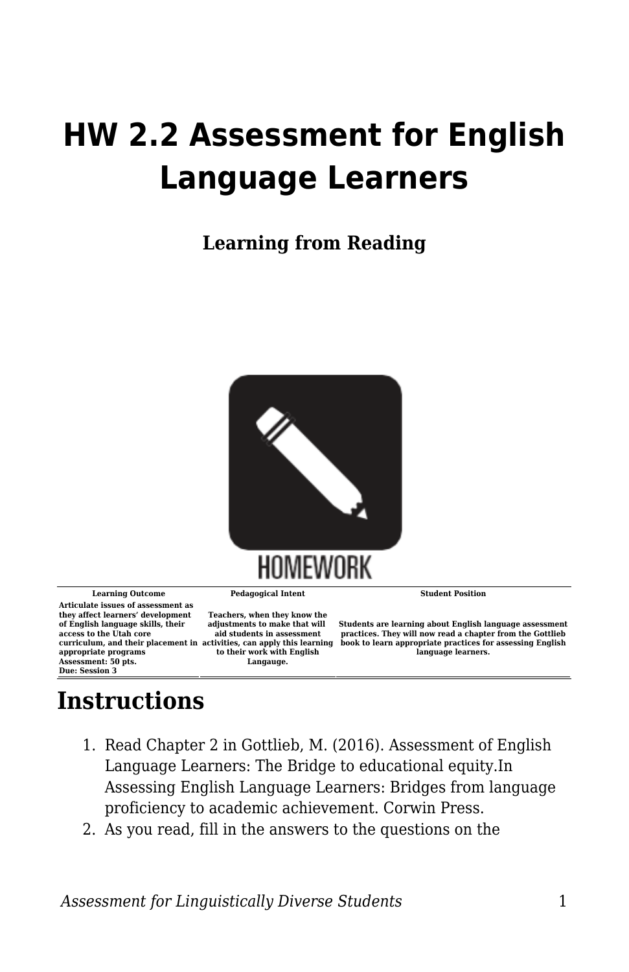## **HW 2.2 Assessment for English Language Learners**

**Learning from Reading**



**Learning Outcome Pedagogical Intent Student Position Articulate issues of assessment as they affect learners' development of English language skills, their access to the Utah core curriculum, and their placement in activities, can apply this learning appropriate programs Assessment: 50 pts. Due: Session 3**

**to their work with English Langauge.**

**Teachers, when they know the adjustments to make that will aid students in assessment**

**Students are learning about English language assessment practices. They will now read a chapter from the Gottlieb book to learn appropriate practices for assessing English language learners.**

## **Instructions**

- 1. Read Chapter 2 in Gottlieb, M. (2016). Assessment of English Language Learners: The Bridge to educational equity.In Assessing English Language Learners: Bridges from language proficiency to academic achievement. Corwin Press.
- 2. As you read, fill in the answers to the questions on the